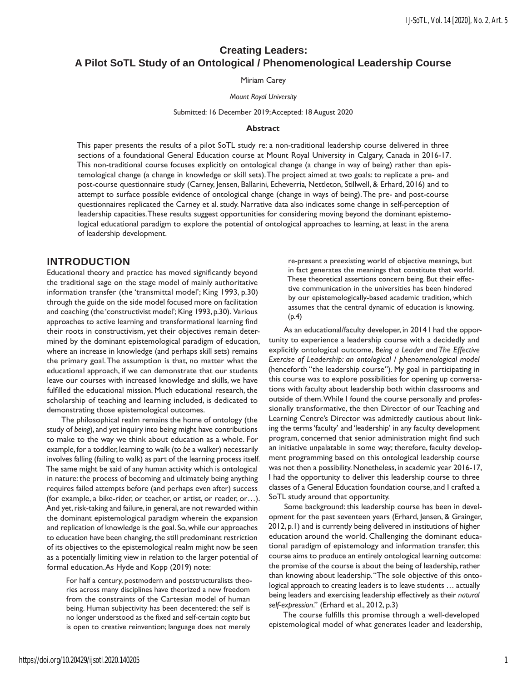# **Creating Leaders: A Pilot SoTL Study of an Ontological / Phenomenological Leadership Course**

Miriam Carey

#### *Mount Royal University*

#### Submitted: 16 December 2019; Accepted: 18 August 2020

#### **Abstract**

This paper presents the results of a pilot SoTL study re: a non-traditional leadership course delivered in three sections of a foundational General Education course at Mount Royal University in Calgary, Canada in 2016-17. This non-traditional course focuses explicitly on ontological change (a change in way of being) rather than epistemological change (a change in knowledge or skill sets). The project aimed at two goals: to replicate a pre- and post-course questionnaire study (Carney, Jensen, Ballarini, Echeverria, Nettleton, Stillwell, & Erhard, 2016) and to attempt to surface possible evidence of ontological change (change in ways of being). The pre- and post-course questionnaires replicated the Carney et al. study. Narrative data also indicates some change in self-perception of leadership capacities. These results suggest opportunities for considering moving beyond the dominant epistemological educational paradigm to explore the potential of ontological approaches to learning, at least in the arena of leadership development.

## **INTRODUCTION**

Educational theory and practice has moved significantly beyond the traditional sage on the stage model of mainly authoritative information transfer (the 'transmittal model'; King 1993, p.30) through the guide on the side model focused more on facilitation and coaching (the 'constructivist model'; King 1993, p.30). Various approaches to active learning and transformational learning find their roots in constructivism, yet their objectives remain determined by the dominant epistemological paradigm of education, where an increase in knowledge (and perhaps skill sets) remains the primary goal. The assumption is that, no matter what the educational approach, if we can demonstrate that our students leave our courses with increased knowledge and skills, we have fulfilled the educational mission. Much educational research, the scholarship of teaching and learning included, is dedicated to demonstrating those epistemological outcomes.

The philosophical realm remains the home of ontology (the study of *being*), and yet inquiry into being might have contributions to make to the way we think about education as a whole. For example, for a toddler, learning to walk (to *be* a walker) necessarily involves falling (failing to walk) as part of the learning process itself. The same might be said of any human activity which is ontological in nature: the process of becoming and ultimately being anything requires failed attempts before (and perhaps even after) success (for example, a bike-rider, or teacher, or artist, or reader, or…). And yet, risk-taking and failure, in general, are not rewarded within the dominant epistemological paradigm wherein the expansion and replication of knowledge is the goal. So, while our approaches to education have been changing, the still predominant restriction of its objectives to the epistemological realm might now be seen as a potentially limiting view in relation to the larger potential of formal education. As Hyde and Kopp (2019) note:

For half a century, postmodern and poststructuralists theories across many disciplines have theorized a new freedom from the constraints of the Cartesian model of human being. Human subjectivity has been decentered; the self is no longer understood as the fixed and self-certain *cogito* but is open to creative reinvention; language does not merely

re-present a preexisting world of objective meanings, but in fact generates the meanings that constitute that world. These theoretical assertions concern being. But their effective communication in the universities has been hindered by our epistemologically-based academic tradition, which assumes that the central dynamic of education is knowing. (p.4)

As an educational/faculty developer, in 2014 I had the opportunity to experience a leadership course with a decidedly and explicitly ontological outcome, *Being a Leader and The Effective Exercise of Leadership: an ontological / phenomenological model* (henceforth "the leadership course"). My goal in participating in this course was to explore possibilities for opening up conversations with faculty about leadership both within classrooms and outside of them. While I found the course personally and professionally transformative, the then Director of our Teaching and Learning Centre's Director was admittedly cautious about linking the terms 'faculty' and 'leadership' in any faculty development program, concerned that senior administration might find such an initiative unpalatable in some way; therefore, faculty development programming based on this ontological leadership course was not then a possibility. Nonetheless, in academic year 2016-17, I had the opportunity to deliver this leadership course to three classes of a General Education foundation course, and I crafted a SoTL study around that opportunity.

Some background: this leadership course has been in development for the past seventeen years (Erhard, Jensen, & Grainger, 2012, p.1) and is currently being delivered in institutions of higher education around the world. Challenging the dominant educational paradigm of epistemology and information transfer, this course aims to produce an entirely ontological learning outcome: the promise of the course is about the being of leadership, rather than knowing about leadership. "The sole objective of this ontological approach to creating leaders is to leave students … actually being leaders and exercising leadership effectively as their *natural self-expression*." (Erhard et al., 2012, p.3)

The course fulfills this promise through a well-developed epistemological model of what generates leader and leadership,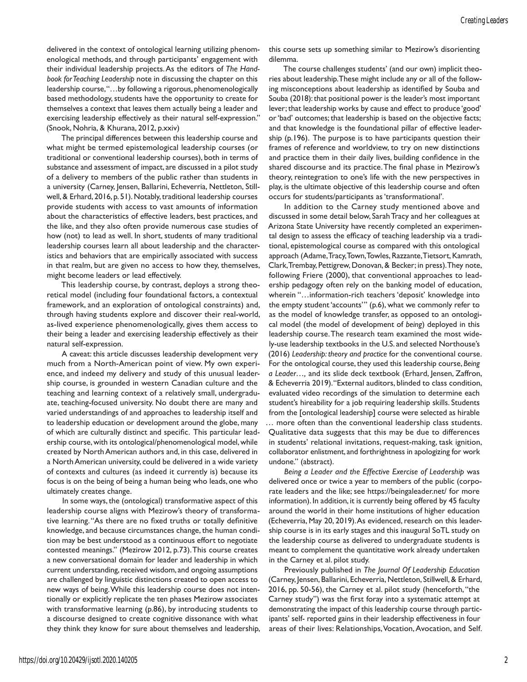delivered in the context of ontological learning utilizing phenomenological methods, and through participants' engagement with their individual leadership projects. As the editors of *The Handbook for Teaching Leadership* note in discussing the chapter on this leadership course, "…by following a rigorous, phenomenologically based methodology, students have the opportunity to create for themselves a context that leaves them actually being a leader and exercising leadership effectively as their natural self-expression." (Snook, Nohria, & Khurana, 2012, p.xxiv)

The principal differences between this leadership course and what might be termed epistemological leadership courses (or traditional or conventional leadership courses), both in terms of substance and assessment of impact, are discussed in a pilot study of a delivery to members of the public rather than students in a university (Carney, Jensen, Ballarini, Echeverria, Nettleton, Stillwell, & Erhard, 2016, p. 51). Notably, traditional leadership courses provide students with access to vast amounts of information about the characteristics of effective leaders, best practices, and the like, and they also often provide numerous case studies of how (not) to lead as well. In short, students of many traditional leadership courses learn all about leadership and the characteristics and behaviors that are empirically associated with success in that realm, but are given no access to how they, themselves, might become leaders or lead effectively.

This leadership course, by contrast, deploys a strong theoretical model (including four foundational factors, a contextual framework, and an exploration of ontological constraints) and, through having students explore and discover their real-world, as-lived experience phenomenologically, gives them access to their being a leader and exercising leadership effectively as their natural self-expression.

A caveat: this article discusses leadership development very much from a North-American point of view. My own experience, and indeed my delivery and study of this unusual leadership course, is grounded in western Canadian culture and the teaching and learning context of a relatively small, undergraduate, teaching-focused university. No doubt there are many and varied understandings of and approaches to leadership itself and to leadership education or development around the globe, many of which are culturally distinct and specific. This particular leadership course, with its ontological/phenomenological model, while created by North American authors and, in this case, delivered in a North American university, could be delivered in a wide variety of contexts and cultures (as indeed it currently is) because its focus is on the being of being a human being who leads, one who ultimately creates change.

In some ways, the (ontological) transformative aspect of this leadership course aligns with Mezirow's theory of transformative learning. "As there are no fixed truths or totally definitive knowledge, and because circumstances change, the human condition may be best understood as a continuous effort to negotiate contested meanings." (Mezirow 2012, p.73). This course creates a new conversational domain for leader and leadership in which current understanding, received wisdom, and ongoing assumptions are challenged by linguistic distinctions created to open access to new ways of being. While this leadership course does not intentionally or explicitly replicate the ten phases Mezirow associates with transformative learning (p.86), by introducing students to a discourse designed to create cognitive dissonance with what they think they know for sure about themselves and leadership, this course sets up something similar to Mezirow's disorienting dilemma.

The course challenges students' (and our own) implicit theories about leadership. These might include any or all of the following misconceptions about leadership as identified by Souba and Souba (2018): that positional power is the leader's most important lever; that leadership works by cause and effect to produce 'good' or 'bad' outcomes; that leadership is based on the objective facts; and that knowledge is the foundational pillar of effective leadership (p.196). The purpose is to have participants question their frames of reference and worldview, to try on new distinctions and practice them in their daily lives, building confidence in the shared discourse and its practice. The final phase in Mezirow's theory, reintegration to one's life with the new perspectives in play, is the ultimate objective of this leadership course and often occurs for students/participants as 'transformational'.

In addition to the Carney study mentioned above and discussed in some detail below, Sarah Tracy and her colleagues at Arizona State University have recently completed an experimental design to assess the efficacy of teaching leadership via a traditional, epistemological course as compared with this ontological approach (Adame, Tracy, Town, Towles, Razzante, Tietsort, Kamrath, Clark, Trembay, Pettigrew, Donovan, & Becker; in press). They note, following Friere (2000), that conventional approaches to leadership pedagogy often rely on the banking model of education, wherein "…information-rich teachers 'deposit' knowledge into the empty student 'accounts'" (p.6), what we commonly refer to as the model of knowledge transfer, as opposed to an ontological model (the model of development of *being*) deployed in this leadership course. The research team examined the most widely-use leadership textbooks in the U.S. and selected Northouse's (2016) *Leadership: theory and practice* for the conventional course. For the ontological course, they used this leadership course, *Being a Leader…,* and its slide deck textbook (Erhard, Jensen, Zaffron, & Echeverria 2019). "External auditors, blinded to class condition, evaluated video recordings of the simulation to determine each student's hireability for a job requiring leadership skills. Students from the [ontological leadership] course were selected as hirable … more often than the conventional leadership class students. Qualitative data suggests that this may be due to differences in students' relational invitations, request-making, task ignition, collaborator enlistment, and forthrightness in apologizing for work undone." (abstract).

*Being a Leader and the Effective Exercise of Leadership* was delivered once or twice a year to members of the public (corporate leaders and the like; see https://beingaleader.net/ for more information). In addition, it is currently being offered by 45 faculty around the world in their home institutions of higher education (Echeverria, May 20, 2019). As evidenced, research on this leadership course is in its early stages and this inaugural SoTL study on the leadership course as delivered to undergraduate students is meant to complement the quantitative work already undertaken in the Carney et al. pilot study.

Previously published in *The Journal Of Leadership Education* (Carney, Jensen, Ballarini, Echeverria, Nettleton, Stillwell, & Erhard, 2016, pp. 50-56), the Carney et al. pilot study (henceforth, "the Carney study") was the first foray into a systematic attempt at demonstrating the impact of this leadership course through participants' self- reported gains in their leadership effectiveness in four areas of their lives: Relationships, Vocation, Avocation, and Self.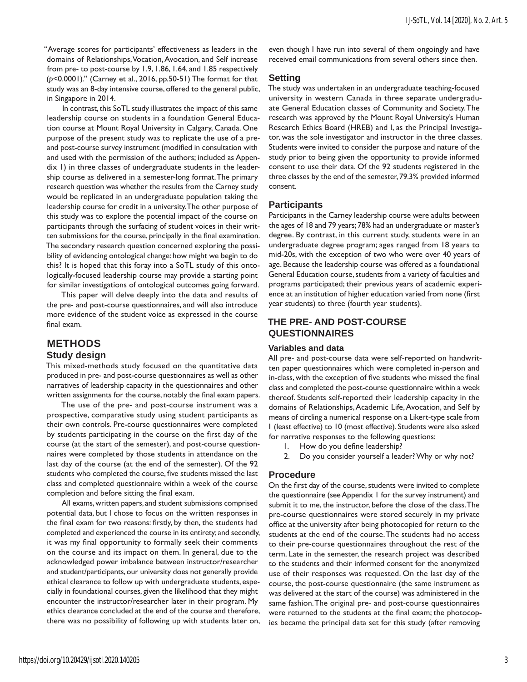"Average scores for participants' effectiveness as leaders in the domains of Relationships, Vocation, Avocation, and Self increase from pre- to post-course by 1.9, 1.86, 1.64, and 1.85 respectively (*p*<0.0001)." (Carney et al., 2016, pp.50-51) The format for that study was an 8-day intensive course, offered to the general public, in Singapore in 2014.

In contrast, this SoTL study illustrates the impact of this same leadership course on students in a foundation General Education course at Mount Royal University in Calgary, Canada. One purpose of the present study was to replicate the use of a preand post-course survey instrument (modified in consultation with and used with the permission of the authors; included as Appendix 1) in three classes of undergraduate students in the leadership course as delivered in a semester-long format. The primary research question was whether the results from the Carney study would be replicated in an undergraduate population taking the leadership course for credit in a university. The other purpose of this study was to explore the potential impact of the course on participants through the surfacing of student voices in their written submissions for the course, principally in the final examination. The secondary research question concerned exploring the possibility of evidencing ontological change: how might we begin to do this? It is hoped that this foray into a SoTL study of this ontologically-focused leadership course may provide a starting point for similar investigations of ontological outcomes going forward.

This paper will delve deeply into the data and results of the pre- and post-course questionnaires, and will also introduce more evidence of the student voice as expressed in the course final exam.

# **METHODS Study design**

This mixed-methods study focused on the quantitative data produced in pre- and post-course questionnaires as well as other narratives of leadership capacity in the questionnaires and other written assignments for the course, notably the final exam papers.

The use of the pre- and post-course instrument was a prospective, comparative study using student participants as their own controls. Pre-course questionnaires were completed by students participating in the course on the first day of the course (at the start of the semester), and post-course questionnaires were completed by those students in attendance on the last day of the course (at the end of the semester). Of the 92 students who completed the course, five students missed the last class and completed questionnaire within a week of the course completion and before sitting the final exam.

All exams, written papers, and student submissions comprised potential data, but I chose to focus on the written responses in the final exam for two reasons: firstly, by then, the students had completed and experienced the course in its entirety; and secondly, it was my final opportunity to formally seek their comments on the course and its impact on them. In general, due to the acknowledged power imbalance between instructor/researcher and student/participants, our university does not generally provide ethical clearance to follow up with undergraduate students, especially in foundational courses, given the likelihood that they might encounter the instructor/researcher later in their program. My ethics clearance concluded at the end of the course and therefore, there was no possibility of following up with students later on, even though I have run into several of them ongoingly and have received email communications from several others since then.

## **Setting**

The study was undertaken in an undergraduate teaching-focused university in western Canada in three separate undergraduate General Education classes of Community and Society. The research was approved by the Mount Royal University's Human Research Ethics Board (HREB) and I, as the Principal Investigator, was the sole investigator and instructor in the three classes. Students were invited to consider the purpose and nature of the study prior to being given the opportunity to provide informed consent to use their data. Of the 92 students registered in the three classes by the end of the semester, 79.3% provided informed consent.

## **Participants**

Participants in the Carney leadership course were adults between the ages of 18 and 79 years; 78% had an undergraduate or master's degree. By contrast, in this current study, students were in an undergraduate degree program; ages ranged from 18 years to mid-20s, with the exception of two who were over 40 years of age. Because the leadership course was offered as a foundational General Education course, students from a variety of faculties and programs participated; their previous years of academic experience at an institution of higher education varied from none (first year students) to three (fourth year students).

# **THE PRE- AND POST-COURSE QUESTIONNAIRES**

### **Variables and data**

All pre- and post-course data were self-reported on handwritten paper questionnaires which were completed in-person and in-class, with the exception of five students who missed the final class and completed the post-course questionnaire within a week thereof. Students self-reported their leadership capacity in the domains of Relationships, Academic Life, Avocation, and Self by means of circling a numerical response on a Likert-type scale from 1 (least effective) to 10 (most effective). Students were also asked for narrative responses to the following questions:

- 1. How do you define leadership?
- 2. Do you consider yourself a leader? Why or why not?

## **Procedure**

On the first day of the course, students were invited to complete the questionnaire (see Appendix 1 for the survey instrument) and submit it to me, the instructor, before the close of the class. The pre-course questionnaires were stored securely in my private office at the university after being photocopied for return to the students at the end of the course. The students had no access to their pre-course questionnaires throughout the rest of the term. Late in the semester, the research project was described to the students and their informed consent for the anonymized use of their responses was requested. On the last day of the course, the post-course questionnaire (the same instrument as was delivered at the start of the course) was administered in the same fashion. The original pre- and post-course questionnaires were returned to the students at the final exam; the photocopies became the principal data set for this study (after removing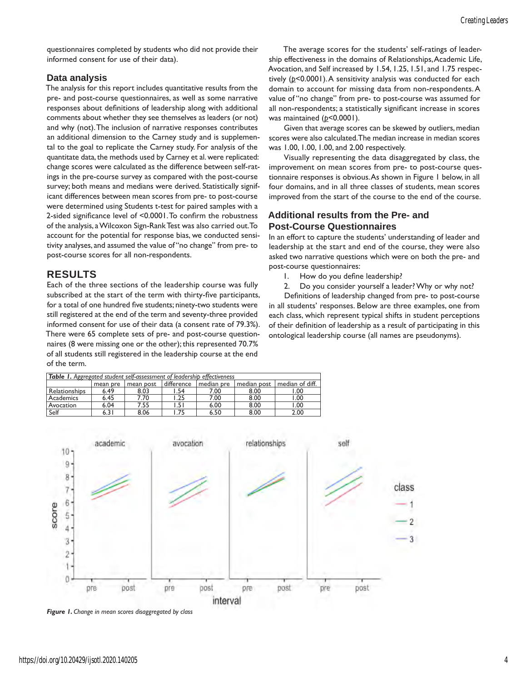questionnaires completed by students who did not provide their informed consent for use of their data).

## **Data analysis**

The analysis for this report includes quantitative results from the pre- and post-course questionnaires, as well as some narrative responses about definitions of leadership along with additional comments about whether they see themselves as leaders (or not) and why (not). The inclusion of narrative responses contributes an additional dimension to the Carney study and is supplemental to the goal to replicate the Carney study. For analysis of the quantitate data, the methods used by Carney et al. were replicated: change scores were calculated as the difference between self-ratings in the pre-course survey as compared with the post-course survey; both means and medians were derived. Statistically significant differences between mean scores from pre- to post-course were determined using Students t-test for paired samples with a 2-sided significance level of <0.0001. To confirm the robustness of the analysis, a Wilcoxon Sign-Rank Test was also carried out. To account for the potential for response bias, we conducted sensitivity analyses, and assumed the value of "no change" from pre- to post-course scores for all non-respondents.

# **RESULTS**

Each of the three sections of the leadership course was fully subscribed at the start of the term with thirty-five participants, for a total of one hundred five students; ninety-two students were still registered at the end of the term and seventy-three provided informed consent for use of their data (a consent rate of 79.3%). There were 65 complete sets of pre- and post-course questionnaires (8 were missing one or the other); this represented 70.7% of all students still registered in the leadership course at the end of the term.

The average scores for the students' self-ratings of leadership effectiveness in the domains of Relationships, Academic Life, Avocation, and Self increased by 1.54, 1.25, 1.51, and 1.75 respectively (*p*<0.0001). A sensitivity analysis was conducted for each domain to account for missing data from non-respondents. A value of "no change" from pre- to post-course was assumed for all non-respondents; a statistically significant increase in scores was maintained ( $p$ <0.0001).

Given that average scores can be skewed by outliers, median scores were also calculated. The median increase in median scores was 1.00, 1.00, 1.00, and 2.00 respectively.

Visually representing the data disaggregated by class, the improvement on mean scores from pre- to post-course questionnaire responses is obvious. As shown in Figure 1 below, in all four domains, and in all three classes of students, mean scores improved from the start of the course to the end of the course.

# **Additional results from the Pre- and Post-Course Questionnaires**

In an effort to capture the students' understanding of leader and leadership at the start and end of the course, they were also asked two narrative questions which were on both the pre- and post-course questionnaires:

- 1. How do you define leadership?
- 2. Do you consider yourself a leader? Why or why not?

Definitions of leadership changed from pre- to post-course in all students' responses. Below are three examples, one from each class, which represent typical shifts in student perceptions of their definition of leadership as a result of participating in this ontological leadership course (all names are pseudonyms).

| <b>Table 1.</b> Aggregated student self-assessment of leadership effectiveness |          |           |            |            |             |                 |  |
|--------------------------------------------------------------------------------|----------|-----------|------------|------------|-------------|-----------------|--|
|                                                                                | mean pre | mean post | difference | median pre | median post | median of diff. |  |
| Relationships                                                                  | 6.49     | 8.03      | l.54       | 7.00       | 8.00        | 1.00            |  |
| Academics                                                                      | 6.45     | 7.70      | 1.25       | 7.00       | 8.00        | 1.00            |  |
| Avocation                                                                      | 6.04     | 7.55      | l.51       | 6.00       | 8.00        | 1.00            |  |
| Self                                                                           | 6.31     | 8.06      | l.75       | 6.50       | 8.00        | 2.00            |  |



*Figure 1. Change in mean scores disaggregated by class*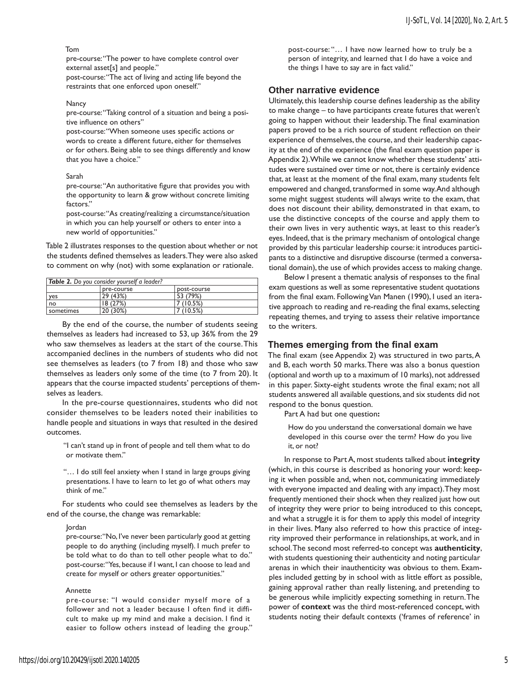### Tom

pre-course: "The power to have complete control over external asset[s] and people."

post-course: "The act of living and acting life beyond the restraints that one enforced upon oneself."

#### **Nancy**

pre-course: "Taking control of a situation and being a positive influence on others"

post-course: "When someone uses specific actions or words to create a different future, either for themselves or for others. Being able to see things differently and know that you have a choice."

#### Sarah

pre-course: "An authoritative figure that provides you with the opportunity to learn & grow without concrete limiting factors."

post-course: "As creating/realizing a circumstance/situation in which you can help yourself or others to enter into a new world of opportunities."

Table 2 illustrates responses to the question about whether or not the students defined themselves as leaders. They were also asked to comment on why (not) with some explanation or rationale.

| <b>Table 2.</b> Do you consider yourself a leader? |            |             |  |  |  |
|----------------------------------------------------|------------|-------------|--|--|--|
|                                                    | pre-course | DOSt-COULSE |  |  |  |
| <b>yes</b>                                         | 29 (43%)   | 53 (79%)    |  |  |  |
| no                                                 | 18(27%)    | 7 (10.5%)   |  |  |  |
| sometimes                                          | 20 (30%)   | 7 (10.5%)   |  |  |  |

By the end of the course, the number of students seeing themselves as leaders had increased to 53, up 36% from the 29 who saw themselves as leaders at the start of the course. This accompanied declines in the numbers of students who did not see themselves as leaders (to 7 from 18) and those who saw themselves as leaders only some of the time (to 7 from 20). It appears that the course impacted students' perceptions of themselves as leaders.

In the pre-course questionnaires, students who did not consider themselves to be leaders noted their inabilities to handle people and situations in ways that resulted in the desired outcomes.

"I can't stand up in front of people and tell them what to do or motivate them."

"… I do still feel anxiety when I stand in large groups giving presentations. I have to learn to let go of what others may think of me."

For students who could see themselves as leaders by the end of the course, the change was remarkable:

#### Jordan

pre-course: "No, I've never been particularly good at getting people to do anything (including myself). I much prefer to be told what to do than to tell other people what to do." post-course: "Yes, because if I want, I can choose to lead and create for myself or others greater opportunities."

#### Annette

pre-course: "I would consider myself more of a follower and not a leader because I often find it difficult to make up my mind and make a decision. I find it easier to follow others instead of leading the group."

post-course: "… I have now learned how to truly be a person of integrity, and learned that I do have a voice and the things I have to say are in fact valid."

### **Other narrative evidence**

Ultimately, this leadership course defines leadership as the ability to make change – to have participants create futures that weren't going to happen without their leadership. The final examination papers proved to be a rich source of student reflection on their experience of themselves, the course, and their leadership capacity at the end of the experience (the final exam question paper is Appendix 2). While we cannot know whether these students' attitudes were sustained over time or not, there is certainly evidence that, at least at the moment of the final exam, many students felt empowered and changed, transformed in some way. And although some might suggest students will always write to the exam, that does not discount their ability, demonstrated in that exam, to use the distinctive concepts of the course and apply them to their own lives in very authentic ways, at least to this reader's eyes. Indeed, that is the primary mechanism of ontological change provided by this particular leadership course: it introduces participants to a distinctive and disruptive discourse (termed a conversational domain), the use of which provides access to making change.

Below I present a thematic analysis of responses to the final exam questions as well as some representative student quotations from the final exam. Following Van Manen (1990), I used an iterative approach to reading and re-reading the final exams, selecting repeating themes, and trying to assess their relative importance to the writers.

### **Themes emerging from the final exam**

The final exam (see Appendix 2) was structured in two parts, A and B, each worth 50 marks. There was also a bonus question (optional and worth up to a maximum of 10 marks), not addressed in this paper. Sixty-eight students wrote the final exam; not all students answered all available questions, and six students did not respond to the bonus question.

Part A had but one question**:**

How do you understand the conversational domain we have developed in this course over the term? How do you live it, or not?

In response to Part A, most students talked about **integrity** (which, in this course is described as honoring your word: keeping it when possible and, when not, communicating immediately with everyone impacted and dealing with any impact). They most frequently mentioned their shock when they realized just how out of integrity they were prior to being introduced to this concept, and what a struggle it is for them to apply this model of integrity in their lives. Many also referred to how this practice of integrity improved their performance in relationships, at work, and in school. The second most referred-to concept was **authenticity**, with students questioning their authenticity and noting particular arenas in which their inauthenticity was obvious to them. Examples included getting by in school with as little effort as possible, gaining approval rather than really listening, and pretending to be generous while implicitly expecting something in return. The power of **context** was the third most-referenced concept, with students noting their default contexts ('frames of reference' in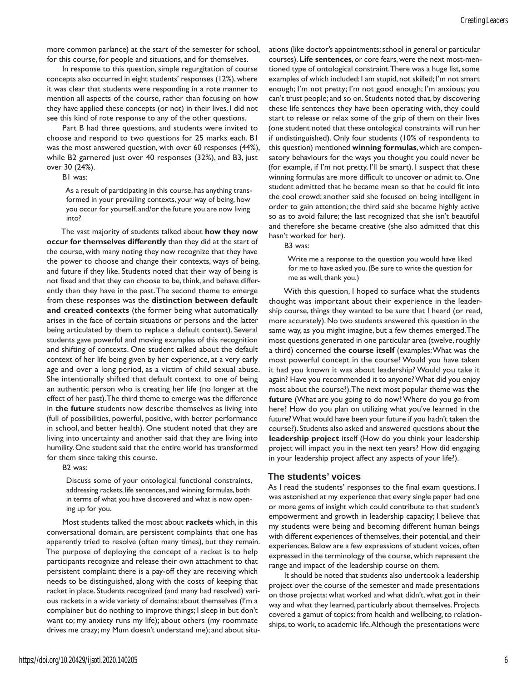more common parlance) at the start of the semester for school, for this course, for people and situations, and for themselves.

In response to this question, simple regurgitation of course concepts also occurred in eight students' responses (12%), where it was clear that students were responding in a rote manner to mention all aspects of the course, rather than focusing on how they have applied these concepts (or not) in their lives. I did not see this kind of rote response to any of the other questions.

Part B had three questions, and students were invited to choose and respond to two questions for 25 marks each. B1 was the most answered question, with over 60 responses (44%), while B2 garnered just over 40 responses (32%), and B3, just over 30 (24%).

B1 was:

As a result of participating in this course, has anything transformed in your prevailing contexts, your way of being, how you occur for yourself, and/or the future you are now living into?

The vast majority of students talked about **how they now occur for themselves differently** than they did at the start of the course, with many noting they now recognize that they have the power to choose and change their contexts, ways of being, and future if they like. Students noted that their way of being is not fixed and that they can choose to be, think, and behave differently than they have in the past. The second theme to emerge from these responses was the **distinction between default and created contexts** (the former being what automatically arises in the face of certain situations or persons and the latter being articulated by them to replace a default context). Several students gave powerful and moving examples of this recognition and shifting of contexts. One student talked about the default context of her life being given by her experience, at a very early age and over a long period, as a victim of child sexual abuse. She intentionally shifted that default context to one of being an authentic person who is creating her life (no longer at the effect of her past). The third theme to emerge was the difference in **the future** students now describe themselves as living into (full of possibilities, powerful, positive, with better performance in school, and better health). One student noted that they are living into uncertainty and another said that they are living into humility. One student said that the entire world has transformed for them since taking this course.

B2 was:

Discuss some of your ontological functional constraints, addressing rackets, life sentences, and winning formulas, both in terms of what you have discovered and what is now opening up for you.

Most students talked the most about **rackets** which, in this conversational domain, are persistent complaints that one has apparently tried to resolve (often many times), but they remain. The purpose of deploying the concept of a racket is to help participants recognize and release their own attachment to that persistent complaint: there is a pay-off they are receiving which needs to be distinguished, along with the costs of keeping that racket in place. Students recognized (and many had resolved) various rackets in a wide variety of domains: about themselves (I'm a complainer but do nothing to improve things; I sleep in but don't want to; my anxiety runs my life); about others (my roommate drives me crazy; my Mum doesn't understand me); and about situations (like doctor's appointments; school in general or particular courses). **Life sentences**, or core fears, were the next most-mentioned type of ontological constraint. There was a huge list, some examples of which included: I am stupid, not skilled; I'm not smart enough; I'm not pretty; I'm not good enough; I'm anxious; you can't trust people; and so on. Students noted that, by discovering these life sentences they have been operating with, they could start to release or relax some of the grip of them on their lives (one student noted that these ontological constraints will run her if undistinguished). Only four students (10% of respondents to this question) mentioned **winning formulas**, which are compensatory behaviours for the ways you thought you could never be (for example, if I'm not pretty, I'll be smart). I suspect that these winning formulas are more difficult to uncover or admit to. One student admitted that he became mean so that he could fit into the cool crowd; another said she focused on being intelligent in order to gain attention; the third said she became highly active so as to avoid failure; the last recognized that she isn't beautiful and therefore she became creative (she also admitted that this hasn't worked for her).

B3 was:

Write me a response to the question you would have liked for me to have asked you. (Be sure to write the question for me as well, thank you.)

With this question, I hoped to surface what the students thought was important about their experience in the leadership course, things they wanted to be sure that I heard (or read, more accurately). No two students answered this question in the same way, as you might imagine, but a few themes emerged. The most questions generated in one particular area (twelve, roughly a third) concerned **the course itself** (examples: What was the most powerful concept in the course? Would you have taken it had you known it was about leadership? Would you take it again? Have you recommended it to anyone? What did you enjoy most about the course?). The next most popular theme was **the future** (What are you going to do now? Where do you go from here? How do you plan on utilizing what you've learned in the future? What would have been your future if you hadn't taken the course?). Students also asked and answered questions about **the leadership project** itself (How do you think your leadership project will impact you in the next ten years? How did engaging in your leadership project affect any aspects of your life?).

### **The students' voices**

As I read the students' responses to the final exam questions, I was astonished at my experience that every single paper had one or more gems of insight which could contribute to that student's empowerment and growth in leadership capacity; I believe that my students were being and becoming different human beings with different experiences of themselves, their potential, and their experiences. Below are a few expressions of student voices, often expressed in the terminology of the course, which represent the range and impact of the leadership course on them.

It should be noted that students also undertook a leadership project over the course of the semester and made presentations on those projects: what worked and what didn't, what got in their way and what they learned, particularly about themselves. Projects covered a gamut of topics: from health and wellbeing, to relationships, to work, to academic life. Although the presentations were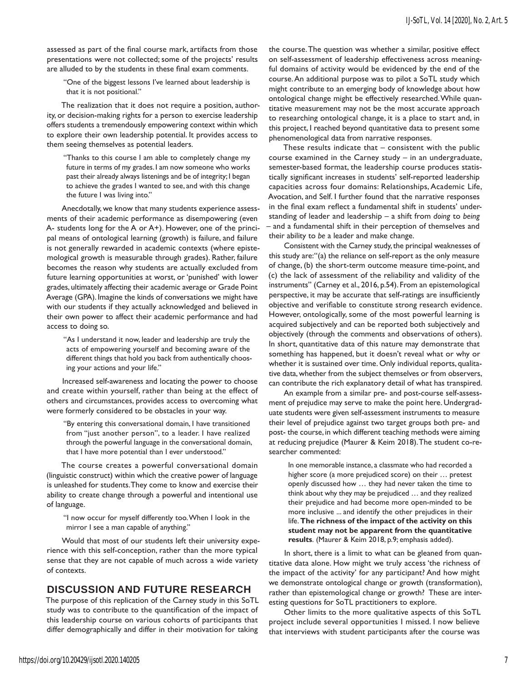assessed as part of the final course mark, artifacts from those presentations were not collected; some of the projects' results are alluded to by the students in these final exam comments.

"One of the biggest lessons I've learned about leadership is that it is not positional."

The realization that it does not require a position, authority, or decision-making rights for a person to exercise leadership offers students a tremendously empowering context within which to explore their own leadership potential. It provides access to them seeing themselves as potential leaders.

"Thanks to this course I am able to completely change my future in terms of my grades. I am now someone who works past their already always listenings and be of integrity; I began to achieve the grades I wanted to see, and with this change the future I was living into."

Anecdotally, we know that many students experience assessments of their academic performance as disempowering (even A- students long for the A or A+). However, one of the principal means of ontological learning (growth) is failure, and failure is not generally rewarded in academic contexts (where epistemological growth is measurable through grades). Rather, failure becomes the reason why students are actually excluded from future learning opportunities at worst, or 'punished' with lower grades, ultimately affecting their academic average or Grade Point Average (GPA). Imagine the kinds of conversations we might have with our students if they actually acknowledged and believed in their own power to affect their academic performance and had access to doing so.

"As I understand it now, leader and leadership are truly the acts of empowering yourself and becoming aware of the different things that hold you back from authentically choosing your actions and your life."

Increased self-awareness and locating the power to choose and create within yourself, rather than being at the effect of others and circumstances, provides access to overcoming what were formerly considered to be obstacles in your way.

"By entering this conversational domain, I have transitioned from "just another person", to a leader. I have realized through the powerful language in the conversational domain, that I have more potential than I ever understood."

The course creates a powerful conversational domain (linguistic construct) within which the creative power of language is unleashed for students. They come to know and exercise their ability to create change through a powerful and intentional use of language.

"I now occur for myself differently too. When I look in the mirror I see a man capable of anything."

Would that most of our students left their university experience with this self-conception, rather than the more typical sense that they are not capable of much across a wide variety of contexts.

## **DISCUSSION AND FUTURE RESEARCH**

The purpose of this replication of the Carney study in this SoTL study was to contribute to the quantification of the impact of this leadership course on various cohorts of participants that differ demographically and differ in their motivation for taking

the course. The question was whether a similar, positive effect on self-assessment of leadership effectiveness across meaningful domains of activity would be evidenced by the end of the course. An additional purpose was to pilot a SoTL study which might contribute to an emerging body of knowledge about how ontological change might be effectively researched. While quantitative measurement may not be the most accurate approach to researching ontological change, it is a place to start and, in this project, I reached beyond quantitative data to present some phenomenological data from narrative responses.

These results indicate that – consistent with the public course examined in the Carney study – in an undergraduate, semester-based format, the leadership course produces statistically significant increases in students' self-reported leadership capacities across four domains: Relationships, Academic Life, Avocation, and Self. I further found that the narrative responses in the final exam reflect a fundamental shift in students' understanding of leader and leadership – a shift from *doing* to *being* – and a fundamental shift in their perception of themselves and their ability to *be* a leader and make change.

Consistent with the Carney study, the principal weaknesses of this study are:"(a) the reliance on self-report as the only measure of change, (b) the short-term outcome measure time-point, and (c) the lack of assessment of the reliability and validity of the instruments" (Carney et al., 2016, p.54). From an epistemological perspective, it may be accurate that self-ratings are insufficiently objective and verifiable to constitute strong research evidence. However, ontologically, some of the most powerful learning is acquired subjectively and can be reported both subjectively and objectively (through the comments and observations of others). In short, quantitative data of this nature may demonstrate that something has happened, but it doesn't reveal what or why or whether it is sustained over time. Only individual reports, qualitative data, whether from the subject themselves or from observers, can contribute the rich explanatory detail of what has transpired.

An example from a similar pre- and post-course self-assessment of prejudice may serve to make the point here. Undergraduate students were given self-assessment instruments to measure their level of prejudice against two target groups both pre- and post- the course, in which different teaching methods were aiming at reducing prejudice (Maurer & Keim 2018). The student co-researcher commented:

In one memorable instance, a classmate who had recorded a higher score (a more prejudiced score) on their … pretest openly discussed how … they had never taken the time to think about why they may be prejudiced … and they realized their prejudice and had become more open-minded to be more inclusive ... and identify the other prejudices in their life. **The richness of the impact of the activity on this student may not be apparent from the quantitative results**. (Maurer & Keim 2018, p.9; emphasis added).

In short, there is a limit to what can be gleaned from quantitative data alone. How might we truly access 'the richness of the impact of the activity' for any participant? And how might we demonstrate ontological change or growth (transformation), rather than epistemological change or growth? These are interesting questions for SoTL practitioners to explore.

Other limits to the more qualitative aspects of this SoTL project include several opportunities I missed. I now believe that interviews with student participants after the course was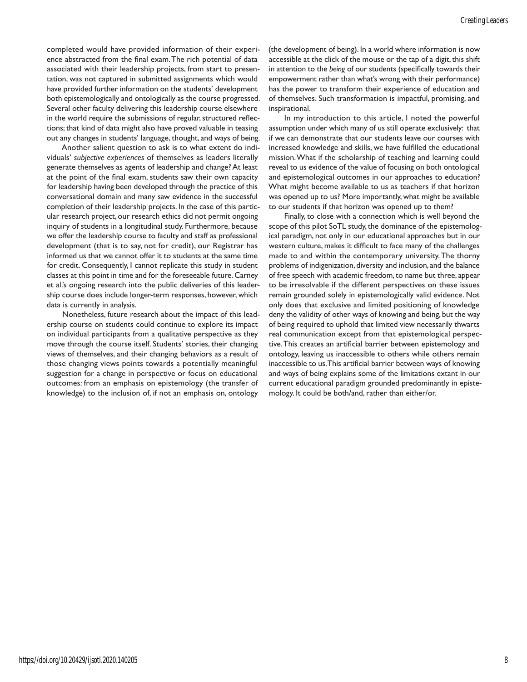completed would have provided information of their experience abstracted from the final exam. The rich potential of data associated with their leadership projects, from start to presentation, was not captured in submitted assignments which would have provided further information on the students' development both epistemologically and ontologically as the course progressed. Several other faculty delivering this leadership course elsewhere in the world require the submissions of regular, structured reflections; that kind of data might also have proved valuable in teasing out any changes in students' language, thought, and ways of being.

Another salient question to ask is to what extent do individuals' *subjective experiences* of themselves as leaders literally generate themselves as agents of leadership and change? At least at the point of the final exam, students saw their own capacity for leadership having been developed through the practice of this conversational domain and many saw evidence in the successful completion of their leadership projects. In the case of this particular research project, our research ethics did not permit ongoing inquiry of students in a longitudinal study. Furthermore, because we offer the leadership course to faculty and staff as professional development (that is to say, not for credit), our Registrar has informed us that we cannot offer it to students at the same time for credit. Consequently, I cannot replicate this study in student classes at this point in time and for the foreseeable future. Carney et al.'s ongoing research into the public deliveries of this leadership course does include longer-term responses, however, which data is currently in analysis.

Nonetheless, future research about the impact of this leadership course on students could continue to explore its impact on individual participants from a qualitative perspective as they move through the course itself. Students' stories, their changing views of themselves, and their changing behaviors as a result of those changing views points towards a potentially meaningful suggestion for a change in perspective or focus on educational outcomes: from an emphasis on epistemology (the transfer of knowledge) to the inclusion of, if not an emphasis on, ontology

(the development of being). In a world where information is now accessible at the click of the mouse or the tap of a digit, this shift in attention to the *being* of our students (specifically towards their empowerment rather than what's wrong with their performance) has the power to transform their experience of education and of themselves. Such transformation is impactful, promising, and inspirational.

In my introduction to this article, I noted the powerful assumption under which many of us still operate exclusively: that if we can demonstrate that our students leave our courses with increased knowledge and skills, we have fulfilled the educational mission. What if the scholarship of teaching and learning could reveal to us evidence of the value of focusing on both ontological and epistemological outcomes in our approaches to education? What might become available to us as teachers if that horizon was opened up to us? More importantly, what might be available to our students if that horizon was opened up to them?

Finally, to close with a connection which is well beyond the scope of this pilot SoTL study, the dominance of the epistemological paradigm, not only in our educational approaches but in our western culture, makes it difficult to face many of the challenges made to and within the contemporary university. The thorny problems of indigenization, diversity and inclusion, and the balance of free speech with academic freedom, to name but three, appear to be irresolvable if the different perspectives on these issues remain grounded solely in epistemologically valid evidence. Not only does that exclusive and limited positioning of knowledge deny the validity of other ways of knowing and being, but the way of being required to uphold that limited view necessarily thwarts real communication except from that epistemological perspective. This creates an artificial barrier between epistemology and ontology, leaving us inaccessible to others while others remain inaccessible to us. This artificial barrier between ways of knowing and ways of being explains some of the limitations extant in our current educational paradigm grounded predominantly in epistemology. It could be both/and, rather than either/or.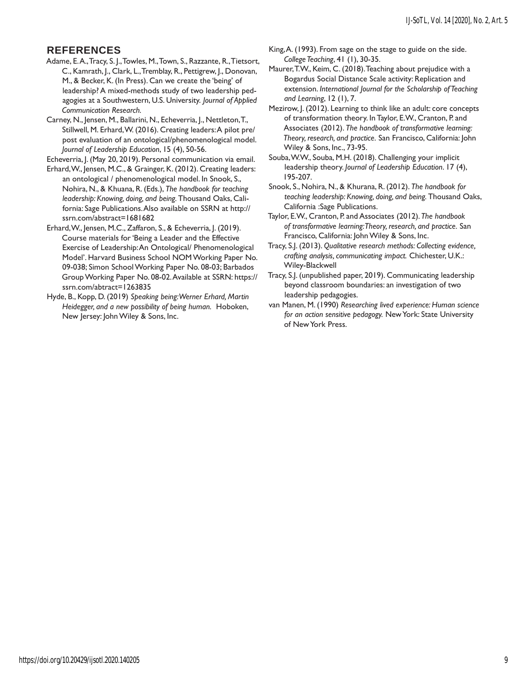# **REFERENCES**

Adame, E. A., Tracy, S. J., Towles, M., Town, S., Razzante, R., Tietsort, C., Kamrath, J., Clark, L., Tremblay, R., Pettigrew, J., Donovan, M., & Becker, K. (In Press). Can we create the 'being' of leadership? A mixed-methods study of two leadership pedagogies at a Southwestern, U.S. University. *Journal of Applied Communication Research.*

Carney, N., Jensen, M., Ballarini, N., Echeverria, J., Nettleton, T., Stillwell, M. Erhard, W. (2016). Creating leaders: A pilot pre/ post evaluation of an ontological/phenomenological model. *Journal of Leadership Education*, 15 (4), 50-56.

Echeverria, J. (May 20, 2019). Personal communication via email.

Erhard, W., Jensen, M.C., & Grainger, K. (2012). Creating leaders: an ontological / phenomenological model. In Snook, S., Nohira, N., & Khuana, R. (Eds.), *The handbook for teaching leadership: Knowing, doing, and being.* Thousand Oaks, California: Sage Publications. Also available on SSRN at http:// ssrn.com/abstract=1681682

Erhard, W., Jensen, M.C., Zaffaron, S., & Echeverria, J. (2019). Course materials for 'Being a Leader and the Effective Exercise of Leadership: An Ontological/ Phenomenological Model'. Harvard Business School NOM Working Paper No. 09-038; Simon School Working Paper No. 08-03; Barbados Group Working Paper No. 08-02. Available at SSRN: https:// ssrn.com/abtract=1263835

Hyde, B., Kopp, D. (2019) *Speaking being: Werner Erhard, Martin Heidegger, and a new possibility of being human.* Hoboken, New Jersey: John Wiley & Sons, Inc.

King, A. (1993). From sage on the stage to guide on the side. *College Teaching*, 41 (1), 30-35.

Maurer, T.W., Keim, C. (2018). Teaching about prejudice with a Bogardus Social Distance Scale activity: Replication and extension. *International Journal for the Scholarship of Teaching and Learning*, 12 (1), 7.

Mezirow, J. (2012). Learning to think like an adult: core concepts of transformation theory. In Taylor, E.W., Cranton, P. and Associates (2012). *The handbook of transformative learning: Theory, research, and practice.* San Francisco, California: John Wiley & Sons, Inc., 73-95.

Souba, W.W., Souba, M.H. (2018). Challenging your implicit leadership theory. *Journal of Leadership Education*. 17 (4), 195-207.

Snook, S., Nohira, N., & Khurana, R. (2012). *The handbook for teaching leadership: Knowing, doing, and being.* Thousand Oaks, California :Sage Publications.

Taylor, E.W., Cranton, P. and Associates (2012). *The handbook of transformative learning: Theory, research, and practice.* San Francisco, California: John Wiley & Sons, Inc.

Tracy, S.J. (2013). *Qualitative research methods: Collecting evidence, crafting analysis, communicating impact.* Chichester, U.K.: Wiley-Blackwell

Tracy, S.J. (unpublished paper, 2019). Communicating leadership beyond classroom boundaries: an investigation of two leadership pedagogies.

van Manen, M. (1990) *Researching lived experience: Human science for an action sensitive pedagogy.* New York: State University of New York Press.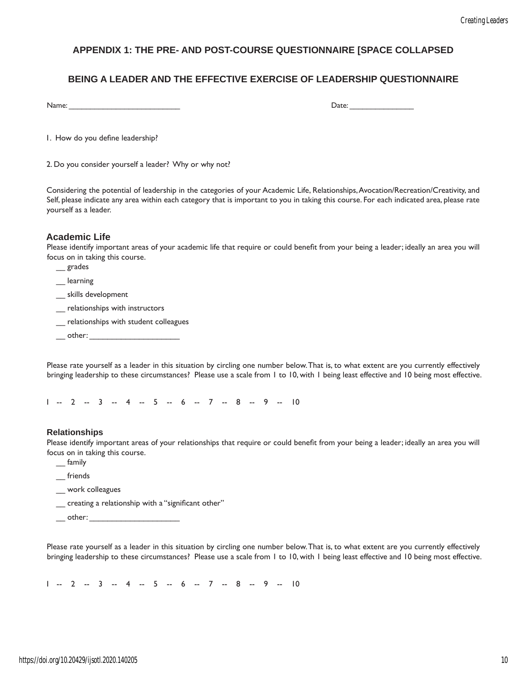# **APPENDIX 1: THE PRE- AND POST-COURSE QUESTIONNAIRE [SPACE COLLAPSED**

# **BEING A LEADER AND THE EFFECTIVE EXERCISE OF LEADERSHIP QUESTIONNAIRE**

Name: \_\_\_\_\_\_\_\_\_\_\_\_\_\_\_\_\_\_\_\_\_\_\_\_\_\_ Date: \_\_\_\_\_\_\_\_\_\_\_\_\_\_\_

1. How do you define leadership?

2. Do you consider yourself a leader? Why or why not?

Considering the potential of leadership in the categories of your Academic Life, Relationships, Avocation/Recreation/Creativity, and Self, please indicate any area within each category that is important to you in taking this course. For each indicated area, please rate yourself as a leader.

# **Academic Life**

Please identify important areas of your academic life that require or could benefit from your being a leader; ideally an area you will focus on in taking this course.

- \_\_ grades
- \_\_ learning
- \_\_ skills development
- \_\_ relationships with instructors
- \_\_ relationships with student colleagues
- other:

Please rate yourself as a leader in this situation by circling one number below. That is, to what extent are you currently effectively bringing leadership to these circumstances? Please use a scale from 1 to 10, with 1 being least effective and 10 being most effective.

1 -- 2 -- 3 -- 4 -- 5 -- 6 -- 7 -- 8 -- 9 -- 10

### **Relationships**

Please identify important areas of your relationships that require or could benefit from your being a leader; ideally an area you will focus on in taking this course.

- \_\_ family
- \_\_ friends
- work colleagues
- \_\_ creating a relationship with a "significant other"
- $\rule{1em}{0.15mm}$  other:  $\rule{1em}{0.15mm}$

Please rate yourself as a leader in this situation by circling one number below. That is, to what extent are you currently effectively bringing leadership to these circumstances? Please use a scale from 1 to 10, with 1 being least effective and 10 being most effective.

1 -- 2 -- 3 -- 4 -- 5 -- 6 -- 7 -- 8 -- 9 -- 10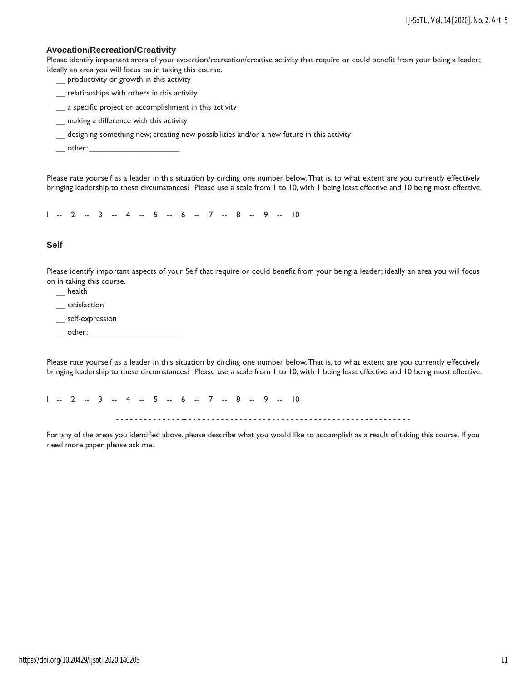### **Avocation/Recreation/Creativity**

Please identify important areas of your avocation/recreation/creative activity that require or could benefit from your being a leader; ideally an area you will focus on in taking this course.

- \_\_ productivity or growth in this activity
- \_\_ relationships with others in this activity
- \_\_ a specific project or accomplishment in this activity
- \_\_ making a difference with this activity
- \_\_ designing something new; creating new possibilities and/or a new future in this activity
- $\rule{1em}{0.15mm}$  other:

Please rate yourself as a leader in this situation by circling one number below. That is, to what extent are you currently effectively bringing leadership to these circumstances? Please use a scale from 1 to 10, with 1 being least effective and 10 being most effective.

1 -- 2 -- 3 -- 4 -- 5 -- 6 -- 7 -- 8 -- 9 -- 10

#### **Self**

Please identify important aspects of your Self that require or could benefit from your being a leader; ideally an area you will focus on in taking this course.

- \_\_ health
- \_\_ satisfaction
- \_\_ self-expression
- $\rule{1em}{0.15mm}$  other:

Please rate yourself as a leader in this situation by circling one number below. That is, to what extent are you currently effectively bringing leadership to these circumstances? Please use a scale from 1 to 10, with 1 being least effective and 10 being most effective.

 $1 - 2 - 3 - 4 - 5 - 6 - 7 - 8 - 9 - 10$ - - - - - - - - - - - - - - -- - - - - - - - - - - - - - - - - - - - - - - - - - - - - - - - - - - - - - - - - - - - - - - - -

For any of the areas you identified above, please describe what you would like to accomplish as a result of taking this course. If you need more paper, please ask me.